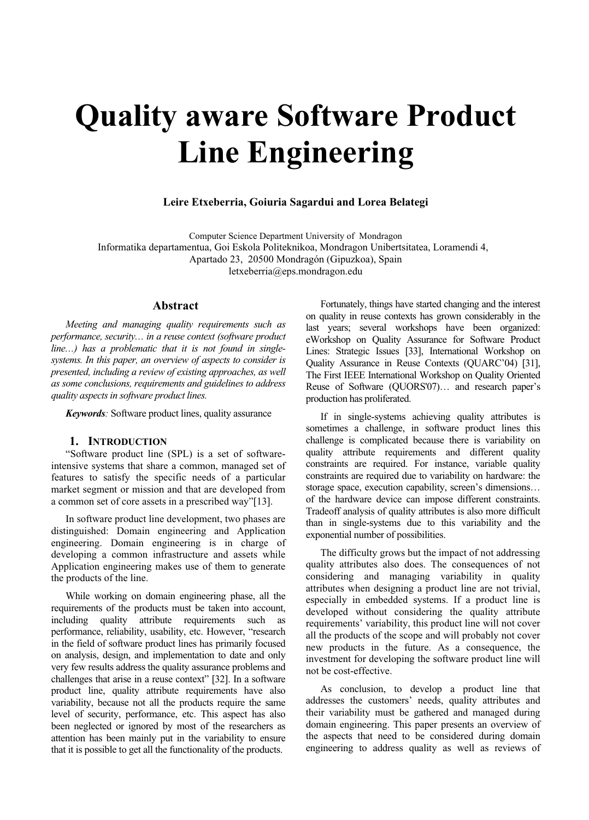# **Quality aware Software Product Line Engineering**

#### **Leire Etxeberria, Goiuria Sagardui and Lorea Belategi**

Computer Science Department University of Mondragon Informatika departamentua, Goi Eskola Politeknikoa, Mondragon Unibertsitatea, Loramendi 4, Apartado 23, 20500 Mondragón (Gipuzkoa), Spain letxeberria@eps.mondragon.edu

#### **Abstract**

*Meeting and managing quality requirements such as performance, security… in a reuse context (software product line…) has a problematic that it is not found in singlesystems. In this paper, an overview of aspects to consider is presented, including a review of existing approaches, as well as some conclusions, requirements and guidelines to address quality aspects in software product lines.* 

*Keywords:* Software product lines, quality assurance

#### **1. INTRODUCTION**

"Software product line (SPL) is a set of softwareintensive systems that share a common, managed set of features to satisfy the specific needs of a particular market segment or mission and that are developed from a common set of core assets in a prescribed way"[13].

In software product line development, two phases are distinguished: Domain engineering and Application engineering. Domain engineering is in charge of developing a common infrastructure and assets while Application engineering makes use of them to generate the products of the line.

While working on domain engineering phase, all the requirements of the products must be taken into account, including quality attribute requirements such as performance, reliability, usability, etc. However, "research in the field of software product lines has primarily focused on analysis, design, and implementation to date and only very few results address the quality assurance problems and challenges that arise in a reuse context" [32]. In a software product line, quality attribute requirements have also variability, because not all the products require the same level of security, performance, etc. This aspect has also been neglected or ignored by most of the researchers as attention has been mainly put in the variability to ensure that it is possible to get all the functionality of the products.

Fortunately, things have started changing and the interest on quality in reuse contexts has grown considerably in the last years; several workshops have been organized: eWorkshop on Quality Assurance for Software Product Lines: Strategic Issues [33], International Workshop on Quality Assurance in Reuse Contexts (QUARC'04) [31], The First IEEE International Workshop on Quality Oriented Reuse of Software (QUORS'07)… and research paper's production has proliferated.

If in single-systems achieving quality attributes is sometimes a challenge, in software product lines this challenge is complicated because there is variability on quality attribute requirements and different quality constraints are required. For instance, variable quality constraints are required due to variability on hardware: the storage space, execution capability, screen's dimensions… of the hardware device can impose different constraints. Tradeoff analysis of quality attributes is also more difficult than in single-systems due to this variability and the exponential number of possibilities.

The difficulty grows but the impact of not addressing quality attributes also does. The consequences of not considering and managing variability in quality attributes when designing a product line are not trivial, especially in embedded systems. If a product line is developed without considering the quality attribute requirements' variability, this product line will not cover all the products of the scope and will probably not cover new products in the future. As a consequence, the investment for developing the software product line will not be cost-effective.

As conclusion, to develop a product line that addresses the customers' needs, quality attributes and their variability must be gathered and managed during domain engineering. This paper presents an overview of the aspects that need to be considered during domain engineering to address quality as well as reviews of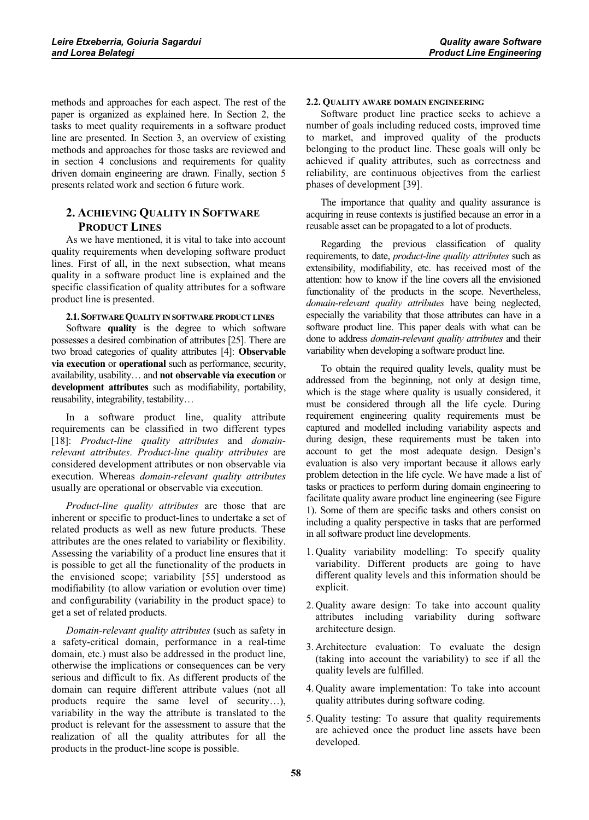methods and approaches for each aspect. The rest of the paper is organized as explained here. In Section 2, the tasks to meet quality requirements in a software product line are presented. In Section 3, an overview of existing methods and approaches for those tasks are reviewed and in section 4 conclusions and requirements for quality driven domain engineering are drawn. Finally, section 5 presents related work and section 6 future work.

# **2. ACHIEVING QUALITY IN SOFTWARE PRODUCT LINES**

As we have mentioned, it is vital to take into account quality requirements when developing software product lines. First of all, in the next subsection, what means quality in a software product line is explained and the specific classification of quality attributes for a software product line is presented.

#### **2.1. SOFTWAREQUALITY IN SOFTWARE PRODUCT LINES**

Software **quality** is the degree to which software possesses a desired combination of attributes [25]. There are two broad categories of quality attributes [4]: **Observable via execution** or **operational** such as performance, security, availability, usability… and **not observable via execution** or **development attributes** such as modifiability, portability, reusability, integrability, testability…

In a software product line, quality attribute requirements can be classified in two different types [18]: *Product-line quality attributes* and *domainrelevant attributes*. *Product-line quality attributes* are considered development attributes or non observable via execution. Whereas *domain-relevant quality attributes* usually are operational or observable via execution.

*Product-line quality attributes* are those that are inherent or specific to product-lines to undertake a set of related products as well as new future products. These attributes are the ones related to variability or flexibility. Assessing the variability of a product line ensures that it is possible to get all the functionality of the products in the envisioned scope; variability [55] understood as modifiability (to allow variation or evolution over time) and configurability (variability in the product space) to get a set of related products.

*Domain-relevant quality attributes* (such as safety in a safety-critical domain, performance in a real-time domain, etc.) must also be addressed in the product line, otherwise the implications or consequences can be very serious and difficult to fix. As different products of the domain can require different attribute values (not all products require the same level of security…), variability in the way the attribute is translated to the product is relevant for the assessment to assure that the realization of all the quality attributes for all the products in the product-line scope is possible.

# **2.2. QUALITY AWARE DOMAIN ENGINEERING**

Software product line practice seeks to achieve a number of goals including reduced costs, improved time to market, and improved quality of the products belonging to the product line. These goals will only be achieved if quality attributes, such as correctness and reliability, are continuous objectives from the earliest phases of development [39].

The importance that quality and quality assurance is acquiring in reuse contexts is justified because an error in a reusable asset can be propagated to a lot of products.

Regarding the previous classification of quality requirements, to date, *product-line quality attributes* such as extensibility, modifiability, etc. has received most of the attention: how to know if the line covers all the envisioned functionality of the products in the scope. Nevertheless, *domain-relevant quality attributes* have being neglected, especially the variability that those attributes can have in a software product line. This paper deals with what can be done to address *domain-relevant quality attributes* and their variability when developing a software product line.

To obtain the required quality levels, quality must be addressed from the beginning, not only at design time, which is the stage where quality is usually considered, it must be considered through all the life cycle. During requirement engineering quality requirements must be captured and modelled including variability aspects and during design, these requirements must be taken into account to get the most adequate design. Design's evaluation is also very important because it allows early problem detection in the life cycle. We have made a list of tasks or practices to perform during domain engineering to facilitate quality aware product line engineering (see Figure 1). Some of them are specific tasks and others consist on including a quality perspective in tasks that are performed in all software product line developments.

- 1. Quality variability modelling: To specify quality variability. Different products are going to have different quality levels and this information should be explicit.
- 2. Quality aware design: To take into account quality attributes including variability during software architecture design.
- 3. Architecture evaluation: To evaluate the design (taking into account the variability) to see if all the quality levels are fulfilled.
- 4. Quality aware implementation: To take into account quality attributes during software coding.
- 5. Quality testing: To assure that quality requirements are achieved once the product line assets have been developed.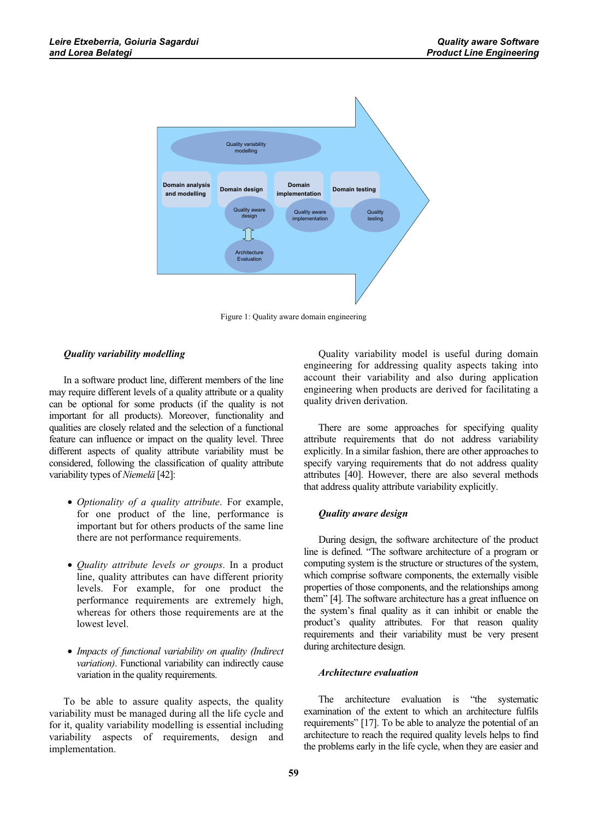

Figure 1: Quality aware domain engineering

# *Quality variability modelling*

In a software product line, different members of the line may require different levels of a quality attribute or a quality can be optional for some products (if the quality is not important for all products). Moreover, functionality and qualities are closely related and the selection of a functional feature can influence or impact on the quality level. Three different aspects of quality attribute variability must be considered, following the classification of quality attribute variability types of *Niemelä* [42]:

- *Optionality of a quality attribute*. For example, for one product of the line, performance is important but for others products of the same line there are not performance requirements.
- *Quality attribute levels or groups*. In a product line, quality attributes can have different priority levels. For example, for one product the performance requirements are extremely high, whereas for others those requirements are at the lowest level.
- *Impacts of functional variability on quality (Indirect variation)*. Functional variability can indirectly cause variation in the quality requirements.

To be able to assure quality aspects, the quality variability must be managed during all the life cycle and for it, quality variability modelling is essential including variability aspects of requirements, design and implementation.

Quality variability model is useful during domain engineering for addressing quality aspects taking into account their variability and also during application engineering when products are derived for facilitating a quality driven derivation.

There are some approaches for specifying quality attribute requirements that do not address variability explicitly. In a similar fashion, there are other approaches to specify varying requirements that do not address quality attributes [40]. However, there are also several methods that address quality attribute variability explicitly.

#### *Quality aware design*

During design, the software architecture of the product line is defined. "The software architecture of a program or computing system is the structure or structures of the system, which comprise software components, the externally visible properties of those components, and the relationships among them" [4]. The software architecture has a great influence on the system's final quality as it can inhibit or enable the product's quality attributes. For that reason quality requirements and their variability must be very present during architecture design.

#### *Architecture evaluation*

The architecture evaluation is "the systematic examination of the extent to which an architecture fulfils requirements" [17]. To be able to analyze the potential of an architecture to reach the required quality levels helps to find the problems early in the life cycle, when they are easier and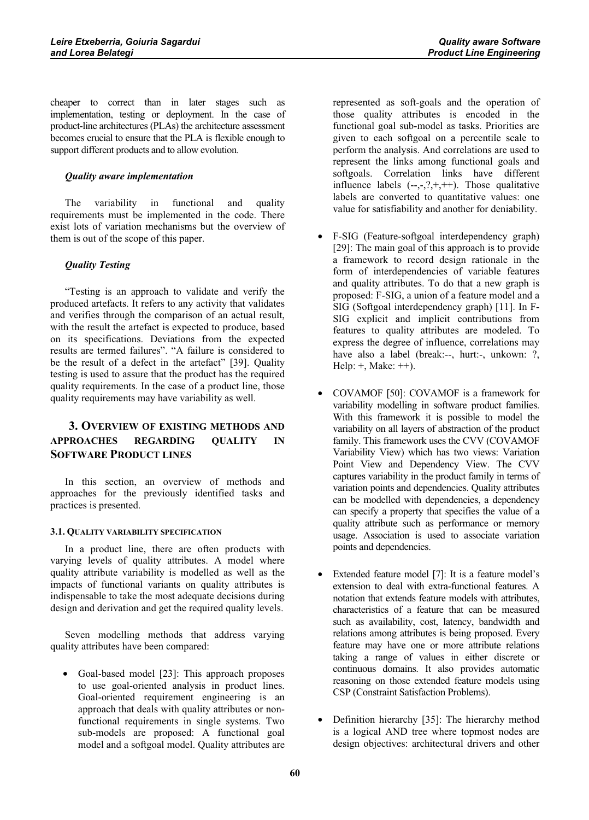cheaper to correct than in later stages such as implementation, testing or deployment. In the case of product-line architectures (PLAs) the architecture assessment becomes crucial to ensure that the PLA is flexible enough to support different products and to allow evolution.

# *Quality aware implementation*

The variability in functional and quality requirements must be implemented in the code. There exist lots of variation mechanisms but the overview of them is out of the scope of this paper.

# *Quality Testing*

"Testing is an approach to validate and verify the produced artefacts. It refers to any activity that validates and verifies through the comparison of an actual result, with the result the artefact is expected to produce, based on its specifications. Deviations from the expected results are termed failures". "A failure is considered to be the result of a defect in the artefact" [39]. Quality testing is used to assure that the product has the required quality requirements. In the case of a product line, those quality requirements may have variability as well.

# **3. OVERVIEW OF EXISTING METHODS AND APPROACHES REGARDING QUALITY IN SOFTWARE PRODUCT LINES**

In this section, an overview of methods and approaches for the previously identified tasks and practices is presented.

# **3.1. QUALITY VARIABILITY SPECIFICATION**

In a product line, there are often products with varying levels of quality attributes. A model where quality attribute variability is modelled as well as the impacts of functional variants on quality attributes is indispensable to take the most adequate decisions during design and derivation and get the required quality levels.

Seven modelling methods that address varying quality attributes have been compared:

• Goal-based model [23]: This approach proposes to use goal-oriented analysis in product lines. Goal-oriented requirement engineering is an approach that deals with quality attributes or nonfunctional requirements in single systems. Two sub-models are proposed: A functional goal model and a softgoal model. Quality attributes are

represented as soft-goals and the operation of those quality attributes is encoded in the functional goal sub-model as tasks. Priorities are given to each softgoal on a percentile scale to perform the analysis. And correlations are used to represent the links among functional goals and softgoals. Correlation links have different influence labels  $(-,-,?,+,++)$ . Those qualitative labels are converted to quantitative values: one value for satisfiability and another for deniability.

- F-SIG (Feature-softgoal interdependency graph) [29]: The main goal of this approach is to provide a framework to record design rationale in the form of interdependencies of variable features and quality attributes. To do that a new graph is proposed: F-SIG, a union of a feature model and a SIG (Softgoal interdependency graph) [11]. In F-SIG explicit and implicit contributions from features to quality attributes are modeled. To express the degree of influence, correlations may have also a label (break:--, hurt:-, unkown: ?, Help:  $+$ , Make:  $++$ ).
- COVAMOF [50]: COVAMOF is a framework for variability modelling in software product families. With this framework it is possible to model the variability on all layers of abstraction of the product family. This framework uses the CVV (COVAMOF Variability View) which has two views: Variation Point View and Dependency View. The CVV captures variability in the product family in terms of variation points and dependencies. Quality attributes can be modelled with dependencies, a dependency can specify a property that specifies the value of a quality attribute such as performance or memory usage. Association is used to associate variation points and dependencies.
- Extended feature model [7]: It is a feature model's extension to deal with extra-functional features. A notation that extends feature models with attributes, characteristics of a feature that can be measured such as availability, cost, latency, bandwidth and relations among attributes is being proposed. Every feature may have one or more attribute relations taking a range of values in either discrete or continuous domains. It also provides automatic reasoning on those extended feature models using CSP (Constraint Satisfaction Problems).
- Definition hierarchy [35]: The hierarchy method is a logical AND tree where topmost nodes are design objectives: architectural drivers and other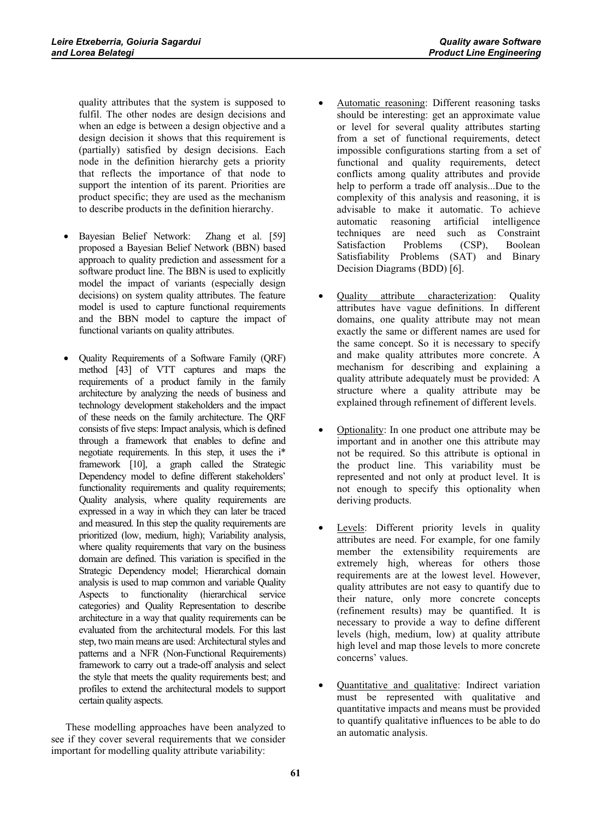quality attributes that the system is supposed to fulfil. The other nodes are design decisions and when an edge is between a design objective and a design decision it shows that this requirement is (partially) satisfied by design decisions. Each node in the definition hierarchy gets a priority that reflects the importance of that node to support the intention of its parent. Priorities are product specific; they are used as the mechanism to describe products in the definition hierarchy.

- Bayesian Belief Network: Zhang et al. [59] proposed a Bayesian Belief Network (BBN) based approach to quality prediction and assessment for a software product line. The BBN is used to explicitly model the impact of variants (especially design decisions) on system quality attributes. The feature model is used to capture functional requirements and the BBN model to capture the impact of functional variants on quality attributes.
- Quality Requirements of a Software Family (QRF) method [43] of VTT captures and maps the requirements of a product family in the family architecture by analyzing the needs of business and technology development stakeholders and the impact of these needs on the family architecture. The QRF consists of five steps: Impact analysis, which is defined through a framework that enables to define and negotiate requirements. In this step, it uses the i\* framework [10], a graph called the Strategic Dependency model to define different stakeholders' functionality requirements and quality requirements; Quality analysis, where quality requirements are expressed in a way in which they can later be traced and measured. In this step the quality requirements are prioritized (low, medium, high); Variability analysis, where quality requirements that vary on the business domain are defined. This variation is specified in the Strategic Dependency model; Hierarchical domain analysis is used to map common and variable Quality Aspects to functionality (hierarchical service categories) and Quality Representation to describe architecture in a way that quality requirements can be evaluated from the architectural models. For this last step, two main means are used: Architectural styles and patterns and a NFR (Non-Functional Requirements) framework to carry out a trade-off analysis and select the style that meets the quality requirements best; and profiles to extend the architectural models to support certain quality aspects.

These modelling approaches have been analyzed to see if they cover several requirements that we consider important for modelling quality attribute variability:

- Automatic reasoning: Different reasoning tasks should be interesting: get an approximate value or level for several quality attributes starting from a set of functional requirements, detect impossible configurations starting from a set of functional and quality requirements, detect conflicts among quality attributes and provide help to perform a trade off analysis...Due to the complexity of this analysis and reasoning, it is advisable to make it automatic. To achieve automatic reasoning artificial intelligence techniques are need such as Constraint Satisfaction Problems (CSP), Boolean Satisfiability Problems (SAT) and Binary Decision Diagrams (BDD) [6].
- Quality attribute characterization: Quality attributes have vague definitions. In different domains, one quality attribute may not mean exactly the same or different names are used for the same concept. So it is necessary to specify and make quality attributes more concrete. A mechanism for describing and explaining a quality attribute adequately must be provided: A structure where a quality attribute may be explained through refinement of different levels.
- Optionality: In one product one attribute may be important and in another one this attribute may not be required. So this attribute is optional in the product line. This variability must be represented and not only at product level. It is not enough to specify this optionality when deriving products.
- Levels: Different priority levels in quality attributes are need. For example, for one family member the extensibility requirements are extremely high, whereas for others those requirements are at the lowest level. However, quality attributes are not easy to quantify due to their nature, only more concrete concepts (refinement results) may be quantified. It is necessary to provide a way to define different levels (high, medium, low) at quality attribute high level and map those levels to more concrete concerns' values.
- Quantitative and qualitative: Indirect variation must be represented with qualitative and quantitative impacts and means must be provided to quantify qualitative influences to be able to do an automatic analysis.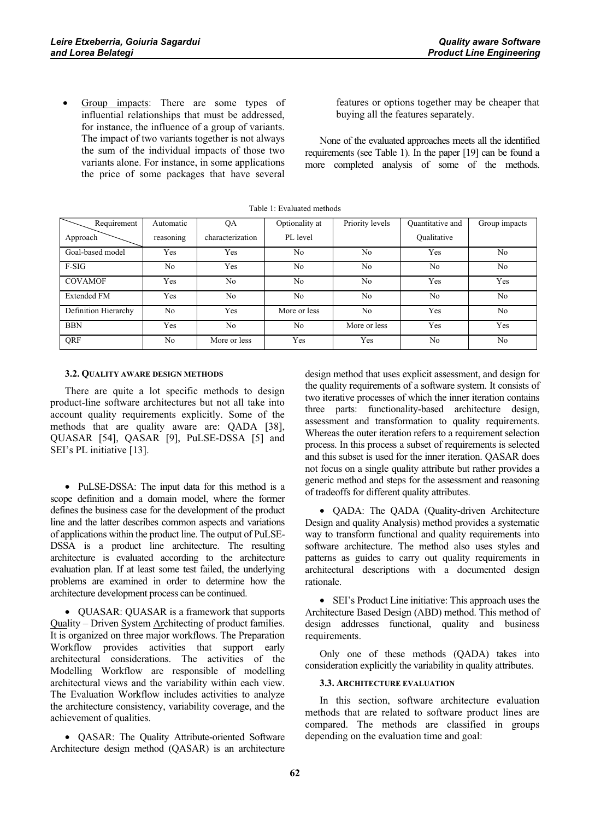Group impacts: There are some types of influential relationships that must be addressed, for instance, the influence of a group of variants. The impact of two variants together is not always the sum of the individual impacts of those two variants alone. For instance, in some applications the price of some packages that have several

features or options together may be cheaper that buying all the features separately.

None of the evaluated approaches meets all the identified requirements (see Table 1). In the paper [19] can be found a more completed analysis of some of the methods.

| Requirement          | Automatic      | QA               | Optionality at | Priority levels | Quantitative and | Group impacts  |  |  |  |  |
|----------------------|----------------|------------------|----------------|-----------------|------------------|----------------|--|--|--|--|
| Approach             | reasoning      | characterization | PL level       |                 | Oualitative      |                |  |  |  |  |
| Goal-based model     | Yes            | Yes              | N <sub>0</sub> | No              | Yes              | N <sub>0</sub> |  |  |  |  |
| $F-SIG$              | N <sub>0</sub> | Yes              | N <sub>0</sub> | No              | N <sub>0</sub>   | N <sub>0</sub> |  |  |  |  |
| <b>COVAMOF</b>       | Yes            | N <sub>0</sub>   | N <sub>0</sub> | No              | Yes              | Yes            |  |  |  |  |
| <b>Extended FM</b>   | Yes            | No               | N <sub>0</sub> | No              | N <sub>0</sub>   | N <sub>0</sub> |  |  |  |  |
| Definition Hierarchy | N <sub>0</sub> | <b>Yes</b>       | More or less   | No              | Yes              | N <sub>0</sub> |  |  |  |  |
| <b>BBN</b>           | Yes            | N <sub>0</sub>   | N <sub>0</sub> | More or less    | Yes              | Yes            |  |  |  |  |
| QRF                  | N <sub>0</sub> | More or less     | Yes            | Yes             | N <sub>0</sub>   | N <sub>0</sub> |  |  |  |  |

#### Table 1: Evaluated methods

#### **3.2. QUALITY AWARE DESIGN METHODS**

There are quite a lot specific methods to design product-line software architectures but not all take into account quality requirements explicitly. Some of the methods that are quality aware are: QADA [38], QUASAR [54], QASAR [9], PuLSE-DSSA [5] and SEI's PL initiative [13].

• PuLSE-DSSA: The input data for this method is a scope definition and a domain model, where the former defines the business case for the development of the product line and the latter describes common aspects and variations of applications within the product line. The output of PuLSE-DSSA is a product line architecture. The resulting architecture is evaluated according to the architecture evaluation plan. If at least some test failed, the underlying problems are examined in order to determine how the architecture development process can be continued.

• QUASAR: QUASAR is a framework that supports Quality – Driven System Architecting of product families. It is organized on three major workflows. The Preparation Workflow provides activities that support early architectural considerations. The activities of the Modelling Workflow are responsible of modelling architectural views and the variability within each view. The Evaluation Workflow includes activities to analyze the architecture consistency, variability coverage, and the achievement of qualities.

• QASAR: The Quality Attribute-oriented Software Architecture design method (QASAR) is an architecture

design method that uses explicit assessment, and design for the quality requirements of a software system. It consists of two iterative processes of which the inner iteration contains three parts: functionality-based architecture design, assessment and transformation to quality requirements. Whereas the outer iteration refers to a requirement selection process. In this process a subset of requirements is selected and this subset is used for the inner iteration. QASAR does not focus on a single quality attribute but rather provides a generic method and steps for the assessment and reasoning of tradeoffs for different quality attributes.

• QADA: The QADA (Quality-driven Architecture Design and quality Analysis) method provides a systematic way to transform functional and quality requirements into software architecture. The method also uses styles and patterns as guides to carry out quality requirements in architectural descriptions with a documented design rationale.

• SEI's Product Line initiative: This approach uses the Architecture Based Design (ABD) method. This method of design addresses functional, quality and business requirements.

Only one of these methods (QADA) takes into consideration explicitly the variability in quality attributes.

#### **3.3. ARCHITECTURE EVALUATION**

In this section, software architecture evaluation methods that are related to software product lines are compared. The methods are classified in groups depending on the evaluation time and goal: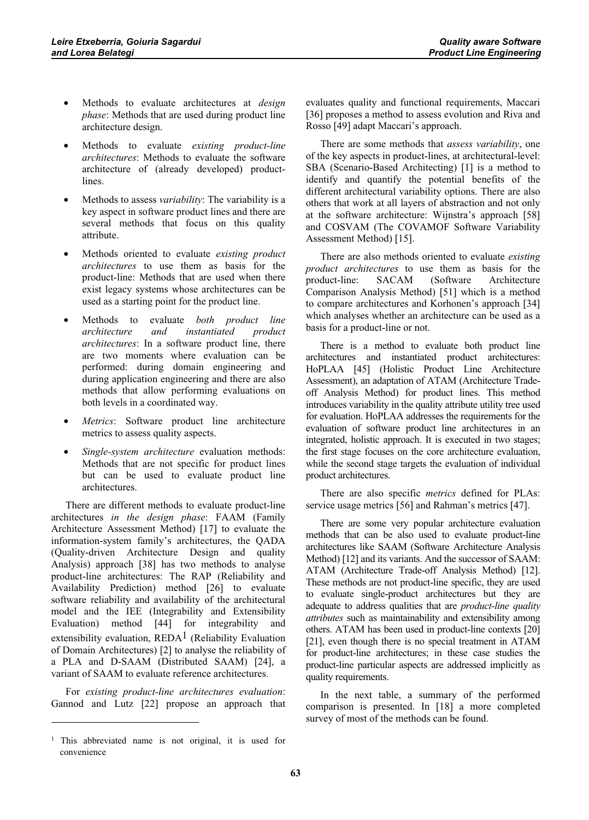- Methods to evaluate architectures at *design phase*: Methods that are used during product line architecture design.
- Methods to evaluate *existing product-line architectures*: Methods to evaluate the software architecture of (already developed) productlines.
- Methods to assess *variability*: The variability is a key aspect in software product lines and there are several methods that focus on this quality attribute.
- Methods oriented to evaluate *existing product architectures* to use them as basis for the product-line: Methods that are used when there exist legacy systems whose architectures can be used as a starting point for the product line.
- Methods to evaluate *both product line architecture and instantiated product architectures*: In a software product line, there are two moments where evaluation can be performed: during domain engineering and during application engineering and there are also methods that allow performing evaluations on both levels in a coordinated way.
- *Metrics*: Software product line architecture metrics to assess quality aspects.
- *Single-system architecture* evaluation methods: Methods that are not specific for product lines but can be used to evaluate product line architectures.

There are different methods to evaluate product-line architectures *in the design phase*: FAAM (Family Architecture Assessment Method) [17] to evaluate the information-system family's architectures, the QADA (Quality-driven Architecture Design and quality Analysis) approach [38] has two methods to analyse product-line architectures: The RAP (Reliability and Availability Prediction) method [26] to evaluate software reliability and availability of the architectural model and the IEE (Integrability and Extensibility Evaluation) method [44] for integrability and extensibility evaluation,  $REDA<sup>1</sup>$  (Reliability Evaluation of Domain Architectures) [2] to analyse the reliability of a PLA and D-SAAM (Distributed SAAM) [24], a variant of SAAM to evaluate reference architectures.

For *existing product-line architectures evaluation*: Gannod and Lutz [22] propose an approach that evaluates quality and functional requirements, Maccari [36] proposes a method to assess evolution and Riva and Rosso [49] adapt Maccari's approach.

There are some methods that *assess variability*, one of the key aspects in product-lines, at architectural-level: SBA (Scenario-Based Architecting) [1] is a method to identify and quantify the potential benefits of the different architectural variability options. There are also others that work at all layers of abstraction and not only at the software architecture: Wijnstra's approach [58] and COSVAM (The COVAMOF Software Variability Assessment Method) [15].

There are also methods oriented to evaluate *existing product architectures* to use them as basis for the product-line: SACAM (Software Architecture Comparison Analysis Method) [51] which is a method to compare architectures and Korhonen's approach [34] which analyses whether an architecture can be used as a basis for a product-line or not.

There is a method to evaluate both product line architectures and instantiated product architectures: HoPLAA [45] (Holistic Product Line Architecture Assessment), an adaptation of ATAM (Architecture Tradeoff Analysis Method) for product lines. This method introduces variability in the quality attribute utility tree used for evaluation. HoPLAA addresses the requirements for the evaluation of software product line architectures in an integrated, holistic approach. It is executed in two stages; the first stage focuses on the core architecture evaluation, while the second stage targets the evaluation of individual product architectures.

There are also specific *metrics* defined for PLAs: service usage metrics [56] and Rahman's metrics [47].

There are some very popular architecture evaluation methods that can be also used to evaluate product-line architectures like SAAM (Software Architecture Analysis Method) [12] and its variants. And the successor of SAAM: ATAM (Architecture Trade-off Analysis Method) [12]. These methods are not product-line specific, they are used to evaluate single-product architectures but they are adequate to address qualities that are *product-line quality attributes* such as maintainability and extensibility among others. ATAM has been used in product-line contexts [20] [21], even though there is no special treatment in ATAM for product-line architectures; in these case studies the product-line particular aspects are addressed implicitly as quality requirements.

In the next table, a summary of the performed comparison is presented. In [18] a more completed survey of most of the methods can be found.

<sup>1</sup> This abbreviated name is not original, it is used for convenience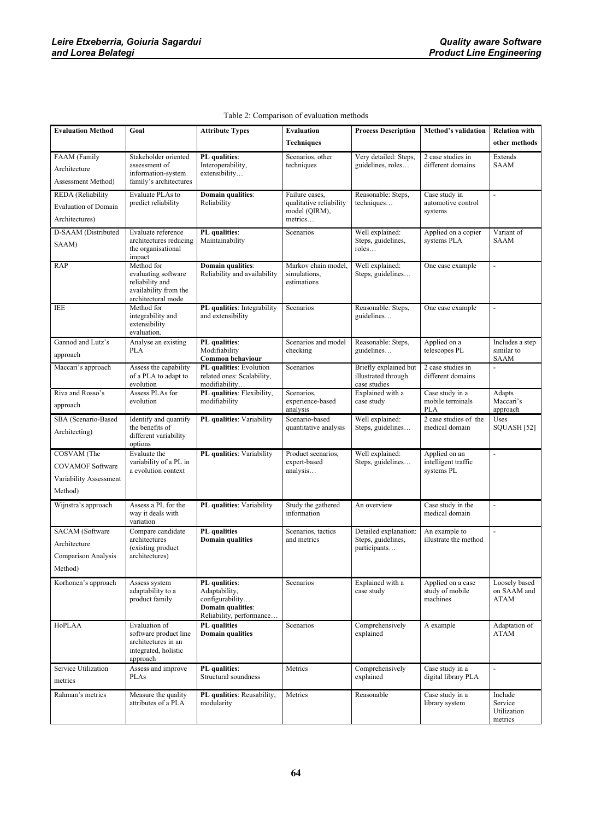| <b>Evaluation Method</b>          | Goal                                                   | <b>Attribute Types</b>                        | Evaluation                        | <b>Process Description</b>                  | <b>Method's validation</b>             | <b>Relation with</b>         |
|-----------------------------------|--------------------------------------------------------|-----------------------------------------------|-----------------------------------|---------------------------------------------|----------------------------------------|------------------------------|
|                                   |                                                        |                                               | Techniques                        |                                             |                                        | other methods                |
| FAAM (Family                      | Stakeholder oriented                                   | PL qualities:                                 | Scenarios, other                  | Very detailed: Steps,                       | 2 case studies in                      | Extends                      |
| Architecture                      | assessment of                                          | Interoperability,                             | techniques                        | guidelines, roles                           | different domains                      | SAAM                         |
| Assessment Method)                | information-system<br>family's architectures           | extensibility                                 |                                   |                                             |                                        |                              |
| REDA (Reliability                 | Evaluate PLAs to                                       | Domain qualities:                             | Failure cases.                    | Reasonable: Steps,                          | Case study in                          |                              |
| Evaluation of Domain              | predict reliability                                    | Reliability                                   | qualitative reliability           | techniques                                  | automotive control                     |                              |
| Architectures)                    |                                                        |                                               | model (QIRM),<br>metrics          |                                             | systems                                |                              |
| D-SAAM (Distributed               | Evaluate reference                                     | PL qualities:                                 | Scenarios                         | Well explained:                             | Applied on a copier                    | Variant of                   |
| SAAM)                             | architectures reducing<br>the organisational<br>impact | Maintainability                               |                                   | Steps, guidelines,<br>roles                 | systems PLA                            | <b>SAAM</b>                  |
| RAP                               | Method for                                             | Domain qualities:                             | Markov chain model,               | Well explained:                             | One case example                       | $\blacksquare$               |
|                                   | evaluating software<br>reliability and                 | Reliability and availability                  | simulations,<br>estimations       | Steps, guidelines                           |                                        |                              |
|                                   | availability from the                                  |                                               |                                   |                                             |                                        |                              |
| <b>IEE</b>                        | architectural mode<br>Method for                       | PL qualities: Integrability                   | Scenarios                         | Reasonable: Steps,                          | One case example                       | ÷,                           |
|                                   | integrability and                                      | and extensibility                             |                                   | guidelines                                  |                                        |                              |
|                                   | extensibility<br>evaluation.                           |                                               |                                   |                                             |                                        |                              |
| Gannod and Lutz's                 | Analyse an existing                                    | PL qualities:                                 | Scenarios and model               | Reasonable: Steps,                          | Applied on a                           | Includes a step              |
| approach                          | <b>PLA</b>                                             | Modifiability<br>Common behaviour             | checking                          | guidelines                                  | telescopes PL                          | similar to<br><b>SAAM</b>    |
| Maccari's approach                | Assess the capability                                  | PL qualities: Evolution                       | Scenarios                         | Briefly explained but                       | 2 case studies in                      |                              |
|                                   | of a PLA to adapt to<br>evolution                      | related ones: Scalability,<br>modifiability   |                                   | illustrated through<br>case studies         | different domains                      |                              |
| Riva and Rosso's                  | Assess PLAs for                                        | PL qualities: Flexibility,                    | Scenarios,                        | Explained with a                            | Case study in a                        | Adapts                       |
| approach                          | evolution                                              | modifiability                                 | experience-based<br>analysis      | case study                                  | mobile terminals<br><b>PLA</b>         | Maccari's<br>approach        |
| SBA (Scenario-Based               | Identify and quantify                                  | PL qualities: Variability                     | Scenario-based                    | Well explained:                             | 2 case studies of the                  | Uses                         |
| Architecting)                     | the benefits of<br>different variability               |                                               | quantitative analysis             | Steps, guidelines                           | medical domain                         | SQUASH [52]                  |
| COSVAM (The                       | options<br>Evaluate the                                | PL qualities: Variability                     | Product scenarios,                | Well explained:                             | Applied on an                          |                              |
| <b>COVAMOF Software</b>           | variability of a PL in                                 |                                               | expert-based                      | Steps, guidelines                           | intelligent traffic                    |                              |
|                                   | a evolution context                                    |                                               | analysis                          |                                             | systems PL                             |                              |
| Variability Assessment<br>Method) |                                                        |                                               |                                   |                                             |                                        |                              |
|                                   |                                                        |                                               |                                   |                                             |                                        |                              |
| Wijnstra's approach               | Assess a PL for the<br>way it deals with               | PL qualities: Variability                     | Study the gathered<br>information | An overview                                 | Case study in the<br>medical domain    |                              |
|                                   | variation                                              |                                               |                                   |                                             |                                        |                              |
| <b>SACAM</b> (Software            | Compare candidate<br>architectures                     | PL qualities<br><b>Domain qualities</b>       | Scenarios, tactics<br>and metrics | Detailed explanation:<br>Steps, guidelines, | An example to<br>illustrate the method | ÷,                           |
| Architecture                      | (existing product                                      |                                               |                                   | participants                                |                                        |                              |
| Comparison Analysis               | architectures)                                         |                                               |                                   |                                             |                                        |                              |
| Method)                           |                                                        |                                               |                                   |                                             |                                        |                              |
| Korhonen's approach               | Assess system<br>adaptability to a                     | PL qualities:<br>Adaptability,                | Scenarios                         | Explained with a<br>case study              | Applied on a case<br>study of mobile   | Loosely based<br>on SAAM and |
|                                   | product family                                         | configurability                               |                                   |                                             | machines                               | ATAM                         |
|                                   |                                                        | Domain qualities:<br>Reliability, performance |                                   |                                             |                                        |                              |
| HoPLAA                            | Evaluation of                                          | PL qualities                                  | Scenarios                         | Comprehensively                             | A example                              | Adaptation of                |
|                                   | software product line<br>architectures in an           | <b>Domain qualities</b>                       |                                   | explained                                   |                                        | ATAM                         |
|                                   | integrated, holistic                                   |                                               |                                   |                                             |                                        |                              |
|                                   | approach                                               |                                               |                                   |                                             |                                        |                              |
| Service Utilization               | Assess and improve<br>PLAs                             | PL qualities:<br>Structural soundness         | Metrics                           | Comprehensively<br>explained                | Case study in a<br>digital library PLA | ä,                           |
| metrics                           |                                                        |                                               |                                   |                                             |                                        |                              |
| Rahman's metrics                  | Measure the quality<br>attributes of a PLA             | PL qualities: Reusability,<br>modularity      | Metrics                           | Reasonable                                  | Case study in a<br>library system      | Include<br>Service           |
|                                   |                                                        |                                               |                                   |                                             |                                        | Utilization<br>metrics       |

# Table 2: Comparison of evaluation methods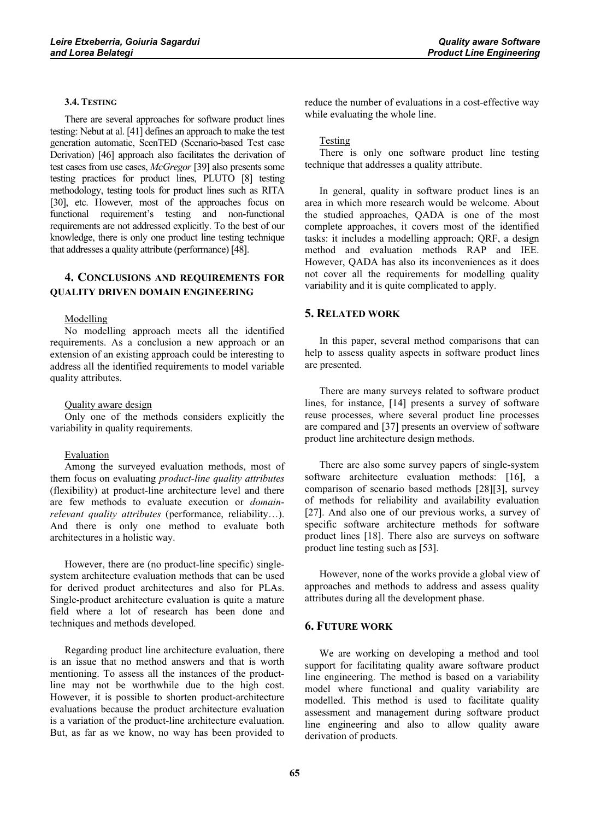# **3.4. TESTING**

There are several approaches for software product lines testing: Nebut at al. [41] defines an approach to make the test generation automatic, ScenTED (Scenario-based Test case Derivation) [46] approach also facilitates the derivation of test cases from use cases, *McGregor* [39] also presents some testing practices for product lines, PLUTO [8] testing methodology, testing tools for product lines such as RITA [30], etc. However, most of the approaches focus on functional requirement's testing and non-functional requirements are not addressed explicitly. To the best of our knowledge, there is only one product line testing technique that addresses a quality attribute (performance) [48].

# **4. CONCLUSIONS AND REQUIREMENTS FOR QUALITY DRIVEN DOMAIN ENGINEERING**

#### Modelling

No modelling approach meets all the identified requirements. As a conclusion a new approach or an extension of an existing approach could be interesting to address all the identified requirements to model variable quality attributes.

#### Quality aware design

Only one of the methods considers explicitly the variability in quality requirements.

#### Evaluation

Among the surveyed evaluation methods, most of them focus on evaluating *product-line quality attributes* (flexibility) at product-line architecture level and there are few methods to evaluate execution or *domainrelevant quality attributes* (performance, reliability…). And there is only one method to evaluate both architectures in a holistic way.

However, there are (no product-line specific) singlesystem architecture evaluation methods that can be used for derived product architectures and also for PLAs. Single-product architecture evaluation is quite a mature field where a lot of research has been done and techniques and methods developed.

Regarding product line architecture evaluation, there is an issue that no method answers and that is worth mentioning. To assess all the instances of the productline may not be worthwhile due to the high cost. However, it is possible to shorten product-architecture evaluations because the product architecture evaluation is a variation of the product-line architecture evaluation. But, as far as we know, no way has been provided to reduce the number of evaluations in a cost-effective way while evaluating the whole line.

#### Testing

There is only one software product line testing technique that addresses a quality attribute.

In general, quality in software product lines is an area in which more research would be welcome. About the studied approaches, QADA is one of the most complete approaches, it covers most of the identified tasks: it includes a modelling approach; QRF, a design method and evaluation methods RAP and IEE. However, QADA has also its inconveniences as it does not cover all the requirements for modelling quality variability and it is quite complicated to apply.

#### **5. RELATED WORK**

In this paper, several method comparisons that can help to assess quality aspects in software product lines are presented.

There are many surveys related to software product lines, for instance, [14] presents a survey of software reuse processes, where several product line processes are compared and [37] presents an overview of software product line architecture design methods.

There are also some survey papers of single-system software architecture evaluation methods: [16], a comparison of scenario based methods [28][3], survey of methods for reliability and availability evaluation [27]. And also one of our previous works, a survey of specific software architecture methods for software product lines [18]. There also are surveys on software product line testing such as [53].

However, none of the works provide a global view of approaches and methods to address and assess quality attributes during all the development phase.

#### **6. FUTURE WORK**

We are working on developing a method and tool support for facilitating quality aware software product line engineering. The method is based on a variability model where functional and quality variability are modelled. This method is used to facilitate quality assessment and management during software product line engineering and also to allow quality aware derivation of products.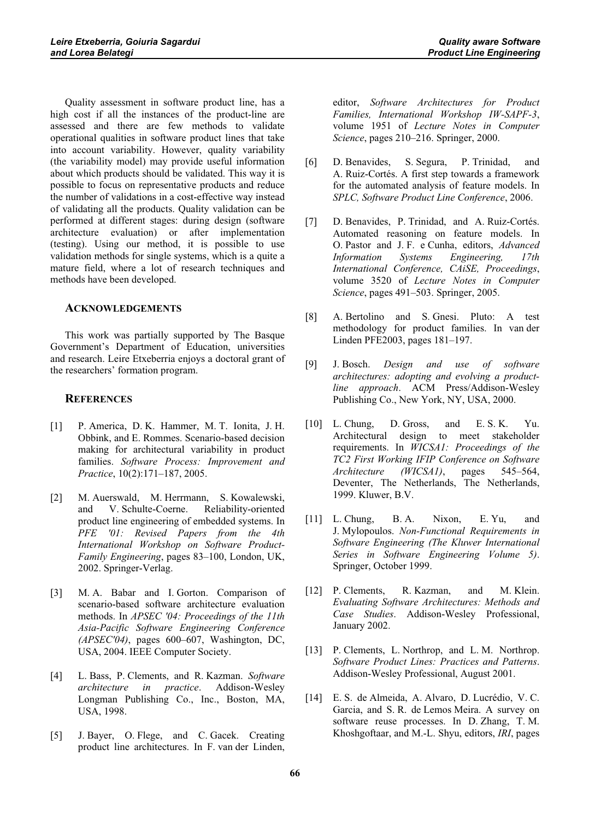Quality assessment in software product line, has a high cost if all the instances of the product-line are assessed and there are few methods to validate operational qualities in software product lines that take into account variability. However, quality variability (the variability model) may provide useful information about which products should be validated. This way it is possible to focus on representative products and reduce the number of validations in a cost-effective way instead of validating all the products. Quality validation can be performed at different stages: during design (software architecture evaluation) or after implementation (testing). Using our method, it is possible to use validation methods for single systems, which is a quite a mature field, where a lot of research techniques and methods have been developed.

# **ACKNOWLEDGEMENTS**

This work was partially supported by The Basque Government's Department of Education, universities and research. Leire Etxeberria enjoys a doctoral grant of the researchers' formation program.

# **REFERENCES**

- [1] P. America, D. K. Hammer, M. T. Ionita, J. H. Obbink, and E. Rommes. Scenario-based decision making for architectural variability in product families. *Software Process: Improvement and Practice*, 10(2):171–187, 2005.
- [2] M. Auerswald, M. Herrmann, S. Kowalewski, and V. Schulte-Coerne. Reliability-oriented product line engineering of embedded systems. In *PFE '01: Revised Papers from the 4th International Workshop on Software Product-Family Engineering*, pages 83–100, London, UK, 2002. Springer-Verlag.
- [3] M. A. Babar and I. Gorton. Comparison of scenario-based software architecture evaluation methods. In *APSEC '04: Proceedings of the 11th Asia-Pacific Software Engineering Conference (APSEC'04)*, pages 600–607, Washington, DC, USA, 2004. IEEE Computer Society.
- [4] L. Bass, P. Clements, and R. Kazman. *Software architecture in practice*. Addison-Wesley Longman Publishing Co., Inc., Boston, MA, USA, 1998.
- [5] J. Bayer, O. Flege, and C. Gacek. Creating product line architectures. In F. van der Linden,

editor, *Software Architectures for Product Families, International Workshop IW-SAPF-3*, volume 1951 of *Lecture Notes in Computer Science*, pages 210–216. Springer, 2000.

- [6] D. Benavides, S. Segura, P. Trinidad, and A. Ruiz-Cortés. A first step towards a framework for the automated analysis of feature models. In *SPLC, Software Product Line Conference*, 2006.
- [7] D. Benavides, P. Trinidad, and A. Ruiz-Cortés. Automated reasoning on feature models. In O. Pastor and J. F. e Cunha, editors, *Advanced Information Systems Engineering, 17th International Conference, CAiSE, Proceedings*, volume 3520 of *Lecture Notes in Computer Science*, pages 491–503. Springer, 2005.
- [8] A. Bertolino and S. Gnesi. Pluto: A test methodology for product families. In van der Linden PFE2003, pages 181–197.
- [9] J. Bosch. *Design and use of software architectures: adopting and evolving a productline approach*. ACM Press/Addison-Wesley Publishing Co., New York, NY, USA, 2000.
- [10] L. Chung, D. Gross, and E. S. K. Yu. Architectural design to meet stakeholder requirements. In *WICSA1: Proceedings of the TC2 First Working IFIP Conference on Software Architecture (WICSA1)*, pages 545–564, Deventer, The Netherlands, The Netherlands, 1999. Kluwer, B.V.
- [11] L. Chung, B. A. Nixon, E. Yu, and J. Mylopoulos. *Non-Functional Requirements in Software Engineering (The Kluwer International Series in Software Engineering Volume 5)*. Springer, October 1999.
- [12] P. Clements, R. Kazman, and M. Klein. *Evaluating Software Architectures: Methods and Case Studies*. Addison-Wesley Professional, January 2002.
- [13] P. Clements, L. Northrop, and L. M. Northrop. *Software Product Lines: Practices and Patterns*. Addison-Wesley Professional, August 2001.
- [14] E. S. de Almeida, A. Alvaro, D. Lucrédio, V. C. Garcia, and S. R. de Lemos Meira. A survey on software reuse processes. In D. Zhang, T. M. Khoshgoftaar, and M.-L. Shyu, editors, *IRI*, pages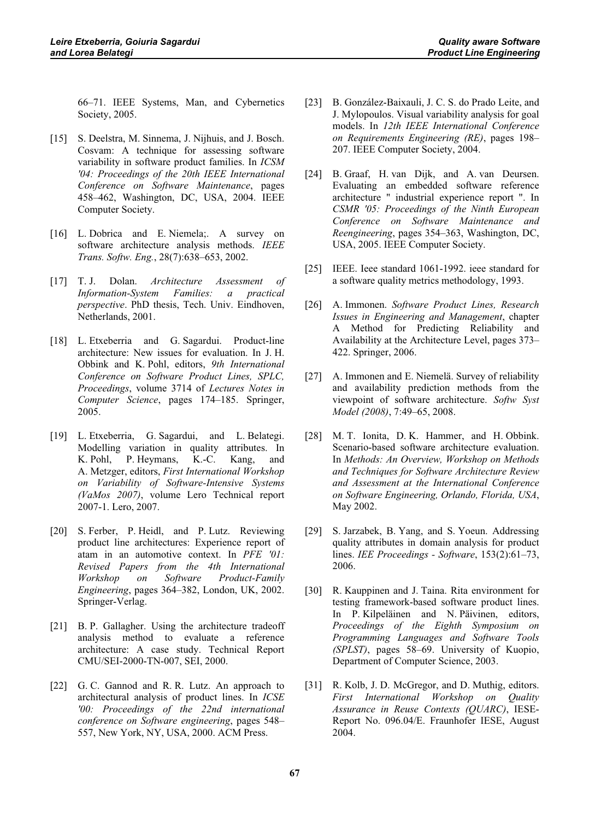66–71. IEEE Systems, Man, and Cybernetics Society, 2005.

- [15] S. Deelstra, M. Sinnema, J. Nijhuis, and J. Bosch. Cosvam: A technique for assessing software variability in software product families. In *ICSM '04: Proceedings of the 20th IEEE International Conference on Software Maintenance*, pages 458–462, Washington, DC, USA, 2004. IEEE Computer Society.
- [16] L. Dobrica and E. Niemela;. A survey on software architecture analysis methods. *IEEE Trans. Softw. Eng.*, 28(7):638–653, 2002.
- [17] T. J. Dolan. *Architecture Assessment of Information-System Families: a practical perspective*. PhD thesis, Tech. Univ. Eindhoven, Netherlands, 2001.
- [18] L. Etxeberria and G. Sagardui. Product-line architecture: New issues for evaluation. In J. H. Obbink and K. Pohl, editors, *9th International Conference on Software Product Lines, SPLC, Proceedings*, volume 3714 of *Lectures Notes in Computer Science*, pages 174–185. Springer, 2005.
- [19] L. Etxeberria, G. Sagardui, and L. Belategi. Modelling variation in quality attributes. In K. Pohl, P. Heymans, K.-C. Kang, and A. Metzger, editors, *First International Workshop on Variability of Software-Intensive Systems (VaMos 2007)*, volume Lero Technical report 2007-1. Lero, 2007.
- [20] S. Ferber, P. Heidl, and P. Lutz. Reviewing product line architectures: Experience report of atam in an automotive context. In *PFE '01: Revised Papers from the 4th International Workshop on Software Product-Family Engineering*, pages 364–382, London, UK, 2002. Springer-Verlag.
- [21] B. P. Gallagher. Using the architecture tradeoff analysis method to evaluate a reference architecture: A case study. Technical Report CMU/SEI-2000-TN-007, SEI, 2000.
- [22] G. C. Gannod and R. R. Lutz. An approach to architectural analysis of product lines. In *ICSE '00: Proceedings of the 22nd international conference on Software engineering*, pages 548– 557, New York, NY, USA, 2000. ACM Press.
- [23] B. González-Baixauli, J. C. S. do Prado Leite, and J. Mylopoulos. Visual variability analysis for goal models. In *12th IEEE International Conference on Requirements Engineering (RE)*, pages 198– 207. IEEE Computer Society, 2004.
- [24] B. Graaf, H. van Dijk, and A. van Deursen. Evaluating an embedded software reference architecture " industrial experience report ". In *CSMR '05: Proceedings of the Ninth European Conference on Software Maintenance and Reengineering*, pages 354–363, Washington, DC, USA, 2005. IEEE Computer Society.
- [25] IEEE. Ieee standard 1061-1992. ieee standard for a software quality metrics methodology, 1993.
- [26] A. Immonen. *Software Product Lines, Research Issues in Engineering and Management*, chapter A Method for Predicting Reliability and Availability at the Architecture Level, pages 373– 422. Springer, 2006.
- [27] A. Immonen and E. Niemelä. Survey of reliability and availability prediction methods from the viewpoint of software architecture. *Softw Syst Model (2008)*, 7:49–65, 2008.
- [28] M. T. Ionita, D. K. Hammer, and H. Obbink. Scenario-based software architecture evaluation. In *Methods: An Overview, Workshop on Methods and Techniques for Software Architecture Review and Assessment at the International Conference on Software Engineering, Orlando, Florida, USA*, May 2002.
- [29] S. Jarzabek, B. Yang, and S. Yoeun. Addressing quality attributes in domain analysis for product lines. *IEE Proceedings - Software*, 153(2):61–73, 2006.
- [30] R. Kauppinen and J. Taina. Rita environment for testing framework-based software product lines. In P. Kilpeläinen and N. Päivinen, editors, *Proceedings of the Eighth Symposium on Programming Languages and Software Tools (SPLST)*, pages 58–69. University of Kuopio, Department of Computer Science, 2003.
- [31] R. Kolb, J. D. McGregor, and D. Muthig, editors. *First International Workshop on Quality Assurance in Reuse Contexts (QUARC)*, IESE-Report No. 096.04/E. Fraunhofer IESE, August 2004.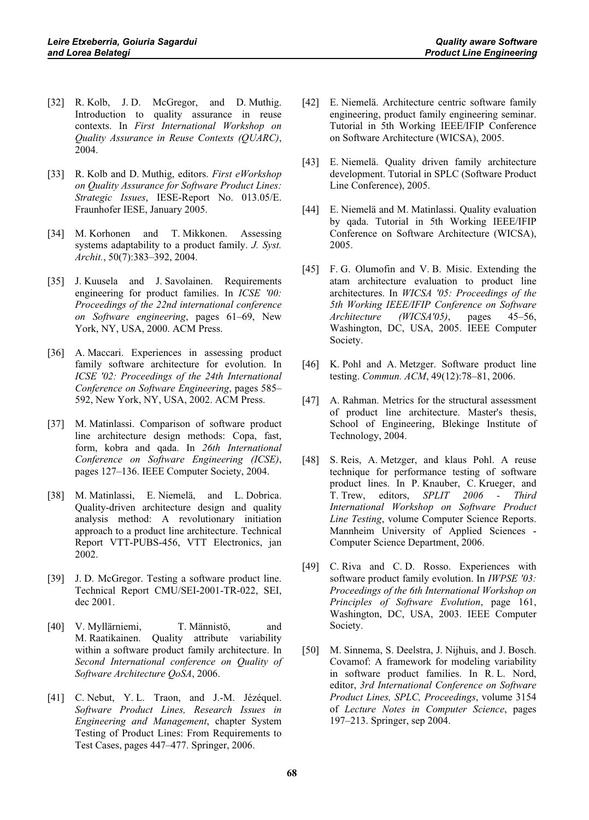- [32] R. Kolb, J. D. McGregor, and D. Muthig. Introduction to quality assurance in reuse contexts. In *First International Workshop on Quality Assurance in Reuse Contexts (QUARC)*, 2004.
- [33] R. Kolb and D. Muthig, editors. *First eWorkshop on Quality Assurance for Software Product Lines: Strategic Issues*, IESE-Report No. 013.05/E. Fraunhofer IESE, January 2005.
- [34] M. Korhonen and T. Mikkonen. Assessing systems adaptability to a product family. *J. Syst. Archit.*, 50(7):383–392, 2004.
- [35] J. Kuusela and J. Savolainen. Requirements engineering for product families. In *ICSE '00: Proceedings of the 22nd international conference on Software engineering*, pages 61–69, New York, NY, USA, 2000. ACM Press.
- [36] A. Maccari. Experiences in assessing product family software architecture for evolution. In *ICSE '02: Proceedings of the 24th International Conference on Software Engineering*, pages 585– 592, New York, NY, USA, 2002. ACM Press.
- [37] M. Matinlassi. Comparison of software product line architecture design methods: Copa, fast, form, kobra and qada. In *26th International Conference on Software Engineering (ICSE)*, pages 127–136. IEEE Computer Society, 2004.
- [38] M. Matinlassi, E. Niemelä, and L. Dobrica. Quality-driven architecture design and quality analysis method: A revolutionary initiation approach to a product line architecture. Technical Report VTT-PUBS-456, VTT Electronics, jan 2002.
- [39] J. D. McGregor. Testing a software product line. Technical Report CMU/SEI-2001-TR-022, SEI, dec 2001.
- [40] V. Myllärniemi, T. Männistö, and M. Raatikainen. Quality attribute variability within a software product family architecture. In *Second International conference on Quality of Software Architecture QoSA*, 2006.
- [41] C. Nebut, Y. L. Traon, and J.-M. Jézéquel. *Software Product Lines, Research Issues in Engineering and Management*, chapter System Testing of Product Lines: From Requirements to Test Cases, pages 447–477. Springer, 2006.
- [42] E. Niemelä. Architecture centric software family engineering, product family engineering seminar. Tutorial in 5th Working IEEE/IFIP Conference on Software Architecture (WICSA), 2005.
- [43] E. Niemelä. Quality driven family architecture development. Tutorial in SPLC (Software Product Line Conference), 2005.
- [44] E. Niemelä and M. Matinlassi. Quality evaluation by qada. Tutorial in 5th Working IEEE/IFIP Conference on Software Architecture (WICSA), 2005.
- [45] F. G. Olumofin and V. B. Misic. Extending the atam architecture evaluation to product line architectures. In *WICSA '05: Proceedings of the 5th Working IEEE/IFIP Conference on Software Architecture (WICSA'05)*, pages 45–56, Washington, DC, USA, 2005. IEEE Computer Society.
- [46] K. Pohl and A. Metzger. Software product line testing. *Commun. ACM*, 49(12):78–81, 2006.
- [47] A. Rahman. Metrics for the structural assessment of product line architecture. Master's thesis, School of Engineering, Blekinge Institute of Technology, 2004.
- [48] S. Reis, A. Metzger, and klaus Pohl. A reuse technique for performance testing of software product lines. In P. Knauber, C. Krueger, and T. Trew, editors, *SPLIT 2006 - Third International Workshop on Software Product Line Testing*, volume Computer Science Reports. Mannheim University of Applied Sciences - Computer Science Department, 2006.
- [49] C. Riva and C. D. Rosso. Experiences with software product family evolution. In *IWPSE '03: Proceedings of the 6th International Workshop on Principles of Software Evolution*, page 161, Washington, DC, USA, 2003. IEEE Computer Society.
- [50] M. Sinnema, S. Deelstra, J. Nijhuis, and J. Bosch. Covamof: A framework for modeling variability in software product families. In R. L. Nord, editor, *3rd International Conference on Software Product Lines, SPLC, Proceedings*, volume 3154 of *Lecture Notes in Computer Science*, pages 197–213. Springer, sep 2004.